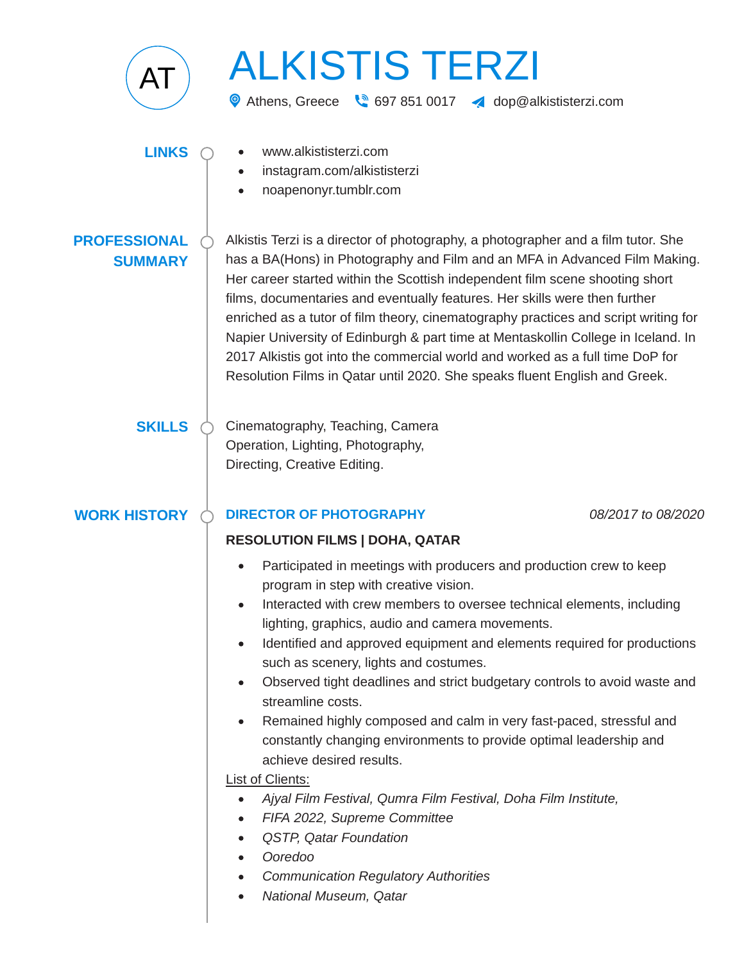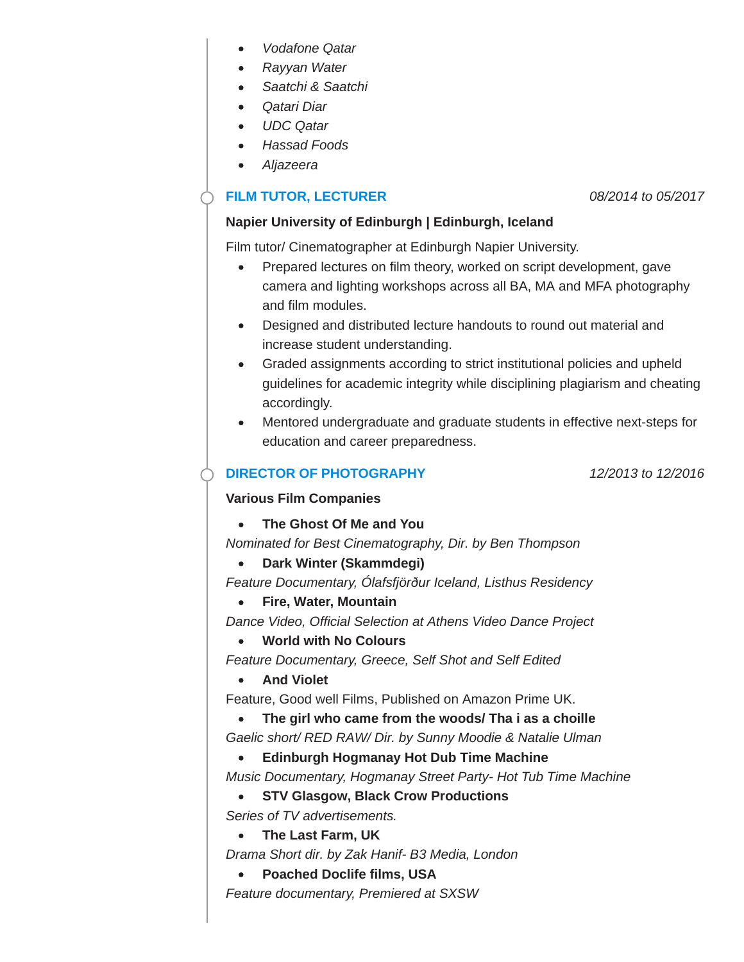- *Vodafone Qatar*
- *Rayyan Water*
- *Saatchi & Saatchi*
- *Qatari Diar*
- *UDC Qatar*
- *Hassad Foods*
- *Aljazeera*

# **FILM TUTOR, LECTURER** *08/2014 to 05/2017*

## **Napier University of Edinburgh | Edinburgh, Iceland**

Film tutor/ Cinematographer at Edinburgh Napier University.

- Prepared lectures on film theory, worked on script development, gave  $\bullet$ camera and lighting workshops across all BA, MA and MFA photography and film modules.
- Designed and distributed lecture handouts to round out material and increase student understanding.
- Graded assignments according to strict institutional policies and upheld guidelines for academic integrity while disciplining plagiarism and cheating accordingly.
- Mentored undergraduate and graduate students in effective next-steps for education and career preparedness.

## **DIRECTOR OF PHOTOGRAPHY** *12/2013 to 12/2016*

### **Various Film Companies**

**The Ghost Of Me and You**

*Nominated for Best Cinematography, Dir. by Ben Thompson*

**Dark Winter (Skammdegi)**

*Feature Documentary, Ólafsfjörður Iceland, Listhus Residency*

**Fire, Water, Mountain**

*Dance Video, Official Selection at Athens Video Dance Project*

**World with No Colours**

*Feature Documentary, Greece, Self Shot and Self Edited*

**And Violet** 

Feature, Good well Films, Published on Amazon Prime UK.

- **The girl who came from the woods/ Tha i as a choille**
- *Gaelic short/ RED RAW/ Dir. by Sunny Moodie & Natalie Ulman*
	- **Edinburgh Hogmanay Hot Dub Time Machine**

*Music Documentary, Hogmanay Street Party- Hot Tub Time Machine*

## **STV Glasgow, Black Crow Productions**

*Series of TV advertisements.*

**The Last Farm, UK**

*Drama Short dir. by Zak Hanif- B3 Media, London*

**Poached Doclife films, USA**  $\bullet$ 

*Feature documentary, Premiered at SXSW*